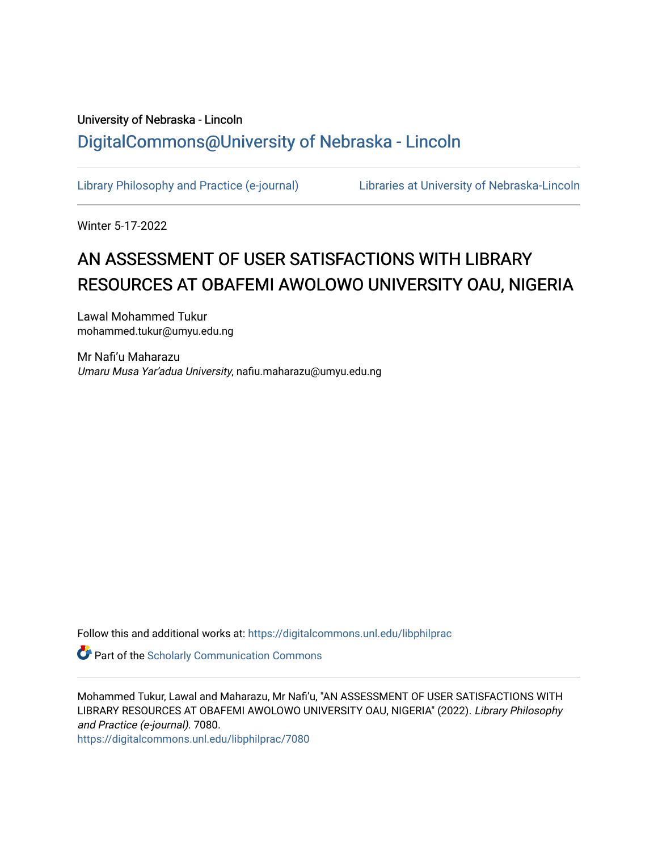## University of Nebraska - Lincoln [DigitalCommons@University of Nebraska - Lincoln](https://digitalcommons.unl.edu/)

[Library Philosophy and Practice \(e-journal\)](https://digitalcommons.unl.edu/libphilprac) [Libraries at University of Nebraska-Lincoln](https://digitalcommons.unl.edu/libraries) 

Winter 5-17-2022

# AN ASSESSMENT OF USER SATISFACTIONS WITH LIBRARY RESOURCES AT OBAFEMI AWOLOWO UNIVERSITY OAU, NIGERIA

Lawal Mohammed Tukur mohammed.tukur@umyu.edu.ng

Mr Nafi'u Maharazu Umaru Musa Yar'adua University, nafiu.maharazu@umyu.edu.ng

Follow this and additional works at: [https://digitalcommons.unl.edu/libphilprac](https://digitalcommons.unl.edu/libphilprac?utm_source=digitalcommons.unl.edu%2Flibphilprac%2F7080&utm_medium=PDF&utm_campaign=PDFCoverPages) 

**Part of the Scholarly Communication Commons** 

Mohammed Tukur, Lawal and Maharazu, Mr Nafi'u, "AN ASSESSMENT OF USER SATISFACTIONS WITH LIBRARY RESOURCES AT OBAFEMI AWOLOWO UNIVERSITY OAU, NIGERIA" (2022). Library Philosophy and Practice (e-journal). 7080.

[https://digitalcommons.unl.edu/libphilprac/7080](https://digitalcommons.unl.edu/libphilprac/7080?utm_source=digitalcommons.unl.edu%2Flibphilprac%2F7080&utm_medium=PDF&utm_campaign=PDFCoverPages)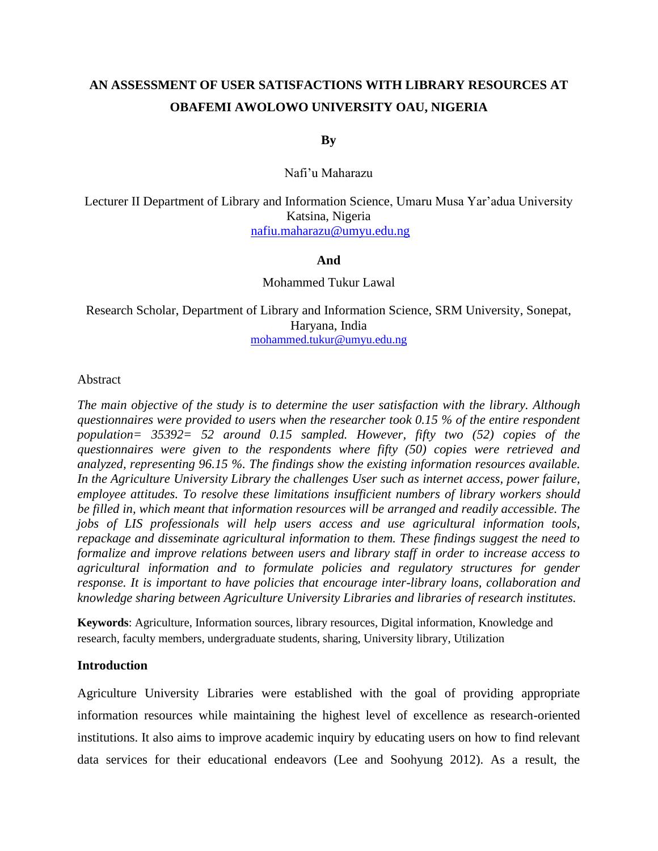## **AN ASSESSMENT OF USER SATISFACTIONS WITH LIBRARY RESOURCES AT OBAFEMI AWOLOWO UNIVERSITY OAU, NIGERIA**

### **By**

### Nafi'u Maharazu

Lecturer II Department of Library and Information Science, Umaru Musa Yar'adua University Katsina, Nigeria [nafiu.maharazu@umyu.edu.ng](mailto:nafiu.maharazu@umyu.edu.ng)

#### **And**

#### Mohammed Tukur Lawal

Research Scholar, Department of Library and Information Science, SRM University, Sonepat, Haryana, India [mohammed.tukur@umyu.edu.ng](mailto:mohammed.tukur@umyu.edu.ng)

#### Abstract

*The main objective of the study is to determine the user satisfaction with the library. Although questionnaires were provided to users when the researcher took 0.15 % of the entire respondent population= 35392= 52 around 0.15 sampled. However, fifty two (52) copies of the questionnaires were given to the respondents where fifty (50) copies were retrieved and analyzed, representing 96.15 %. The findings show the existing information resources available. In the Agriculture University Library the challenges User such as internet access, power failure, employee attitudes. To resolve these limitations insufficient numbers of library workers should be filled in, which meant that information resources will be arranged and readily accessible. The jobs of LIS professionals will help users access and use agricultural information tools, repackage and disseminate agricultural information to them. These findings suggest the need to formalize and improve relations between users and library staff in order to increase access to agricultural information and to formulate policies and regulatory structures for gender response. It is important to have policies that encourage inter-library loans, collaboration and knowledge sharing between Agriculture University Libraries and libraries of research institutes.*

**Keywords**: Agriculture, Information sources, library resources, Digital information, Knowledge and research, faculty members, undergraduate students, sharing, University library, Utilization

#### **Introduction**

Agriculture University Libraries were established with the goal of providing appropriate information resources while maintaining the highest level of excellence as research-oriented institutions. It also aims to improve academic inquiry by educating users on how to find relevant data services for their educational endeavors (Lee and Soohyung 2012). As a result, the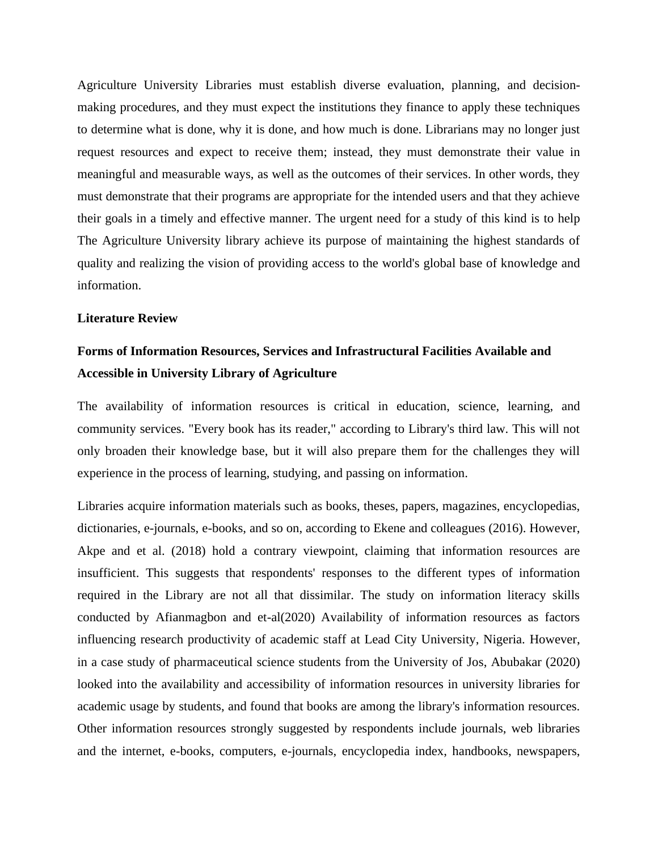Agriculture University Libraries must establish diverse evaluation, planning, and decisionmaking procedures, and they must expect the institutions they finance to apply these techniques to determine what is done, why it is done, and how much is done. Librarians may no longer just request resources and expect to receive them; instead, they must demonstrate their value in meaningful and measurable ways, as well as the outcomes of their services. In other words, they must demonstrate that their programs are appropriate for the intended users and that they achieve their goals in a timely and effective manner. The urgent need for a study of this kind is to help The Agriculture University library achieve its purpose of maintaining the highest standards of quality and realizing the vision of providing access to the world's global base of knowledge and information.

### **Literature Review**

## **Forms of Information Resources, Services and Infrastructural Facilities Available and Accessible in University Library of Agriculture**

The availability of information resources is critical in education, science, learning, and community services. "Every book has its reader," according to Library's third law. This will not only broaden their knowledge base, but it will also prepare them for the challenges they will experience in the process of learning, studying, and passing on information.

Libraries acquire information materials such as books, theses, papers, magazines, encyclopedias, dictionaries, e-journals, e-books, and so on, according to Ekene and colleagues (2016). However, Akpe and et al. (2018) hold a contrary viewpoint, claiming that information resources are insufficient. This suggests that respondents' responses to the different types of information required in the Library are not all that dissimilar. The study on information literacy skills conducted by Afianmagbon and et-al(2020) Availability of information resources as factors influencing research productivity of academic staff at Lead City University, Nigeria. However, in a case study of pharmaceutical science students from the University of Jos, Abubakar (2020) looked into the availability and accessibility of information resources in university libraries for academic usage by students, and found that books are among the library's information resources. Other information resources strongly suggested by respondents include journals, web libraries and the internet, e-books, computers, e-journals, encyclopedia index, handbooks, newspapers,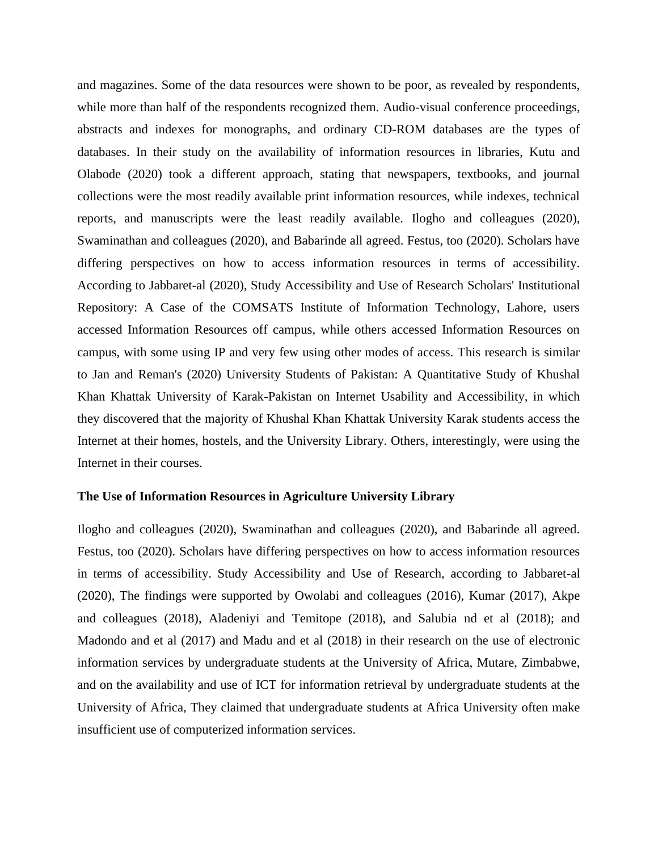and magazines. Some of the data resources were shown to be poor, as revealed by respondents, while more than half of the respondents recognized them. Audio-visual conference proceedings, abstracts and indexes for monographs, and ordinary CD-ROM databases are the types of databases. In their study on the availability of information resources in libraries, Kutu and Olabode (2020) took a different approach, stating that newspapers, textbooks, and journal collections were the most readily available print information resources, while indexes, technical reports, and manuscripts were the least readily available. Ilogho and colleagues (2020), Swaminathan and colleagues (2020), and Babarinde all agreed. Festus, too (2020). Scholars have differing perspectives on how to access information resources in terms of accessibility. According to Jabbaret-al (2020), Study Accessibility and Use of Research Scholars' Institutional Repository: A Case of the COMSATS Institute of Information Technology, Lahore, users accessed Information Resources off campus, while others accessed Information Resources on campus, with some using IP and very few using other modes of access. This research is similar to Jan and Reman's (2020) University Students of Pakistan: A Quantitative Study of Khushal Khan Khattak University of Karak-Pakistan on Internet Usability and Accessibility, in which they discovered that the majority of Khushal Khan Khattak University Karak students access the Internet at their homes, hostels, and the University Library. Others, interestingly, were using the Internet in their courses.

#### **The Use of Information Resources in Agriculture University Library**

Ilogho and colleagues (2020), Swaminathan and colleagues (2020), and Babarinde all agreed. Festus, too (2020). Scholars have differing perspectives on how to access information resources in terms of accessibility. Study Accessibility and Use of Research, according to Jabbaret-al (2020), The findings were supported by Owolabi and colleagues (2016), Kumar (2017), Akpe and colleagues (2018), Aladeniyi and Temitope (2018), and Salubia nd et al (2018); and Madondo and et al (2017) and Madu and et al (2018) in their research on the use of electronic information services by undergraduate students at the University of Africa, Mutare, Zimbabwe, and on the availability and use of ICT for information retrieval by undergraduate students at the University of Africa, They claimed that undergraduate students at Africa University often make insufficient use of computerized information services.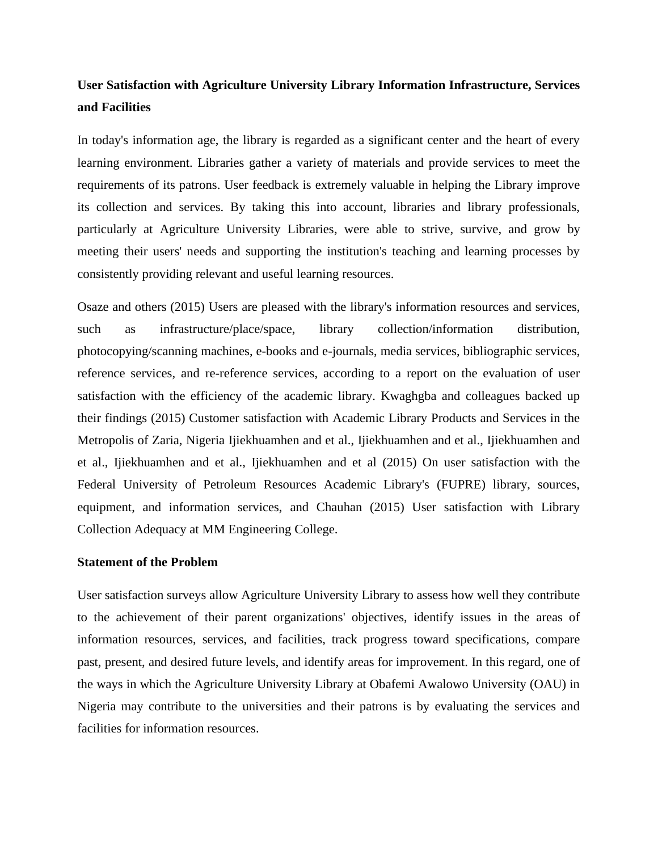## **User Satisfaction with Agriculture University Library Information Infrastructure, Services and Facilities**

In today's information age, the library is regarded as a significant center and the heart of every learning environment. Libraries gather a variety of materials and provide services to meet the requirements of its patrons. User feedback is extremely valuable in helping the Library improve its collection and services. By taking this into account, libraries and library professionals, particularly at Agriculture University Libraries, were able to strive, survive, and grow by meeting their users' needs and supporting the institution's teaching and learning processes by consistently providing relevant and useful learning resources.

Osaze and others (2015) Users are pleased with the library's information resources and services, such as infrastructure/place/space, library collection/information distribution, photocopying/scanning machines, e-books and e-journals, media services, bibliographic services, reference services, and re-reference services, according to a report on the evaluation of user satisfaction with the efficiency of the academic library. Kwaghgba and colleagues backed up their findings (2015) Customer satisfaction with Academic Library Products and Services in the Metropolis of Zaria, Nigeria Ijiekhuamhen and et al., Ijiekhuamhen and et al., Ijiekhuamhen and et al., Ijiekhuamhen and et al., Ijiekhuamhen and et al (2015) On user satisfaction with the Federal University of Petroleum Resources Academic Library's (FUPRE) library, sources, equipment, and information services, and Chauhan (2015) User satisfaction with Library Collection Adequacy at MM Engineering College.

#### **Statement of the Problem**

User satisfaction surveys allow Agriculture University Library to assess how well they contribute to the achievement of their parent organizations' objectives, identify issues in the areas of information resources, services, and facilities, track progress toward specifications, compare past, present, and desired future levels, and identify areas for improvement. In this regard, one of the ways in which the Agriculture University Library at Obafemi Awalowo University (OAU) in Nigeria may contribute to the universities and their patrons is by evaluating the services and facilities for information resources.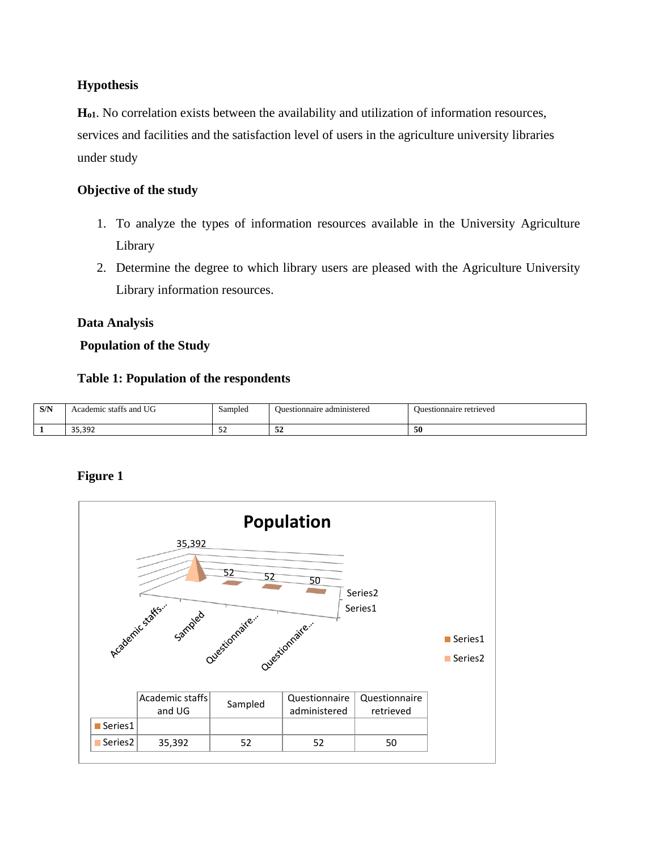## **Hypothesis**

**Ho1**. No correlation exists between the availability and utilization of information resources, services and facilities and the satisfaction level of users in the agriculture university libraries under study

## **Objective of the study**

- 1. To analyze the types of information resources available in the University Agriculture Library
- 2. Determine the degree to which library users are pleased with the Agriculture University Library information resources.

## **Data Analysis**

## **Population of the Study**

## **Table 1: Population of the respondents**

| C/N<br><b>DITA</b> | UG<br>and<br>: statts<br>cademic<br>$ -$ | Sampled<br>$\sim$ $\sim$ | administered<br>Ouestionnaire | Ouestionnaire retrieved<br>. |
|--------------------|------------------------------------------|--------------------------|-------------------------------|------------------------------|
|                    | $\sim$<br>33.33Z                         | <u>ے ب</u>               | $\sim$<br>-24                 | -50                          |

## **Figure 1**

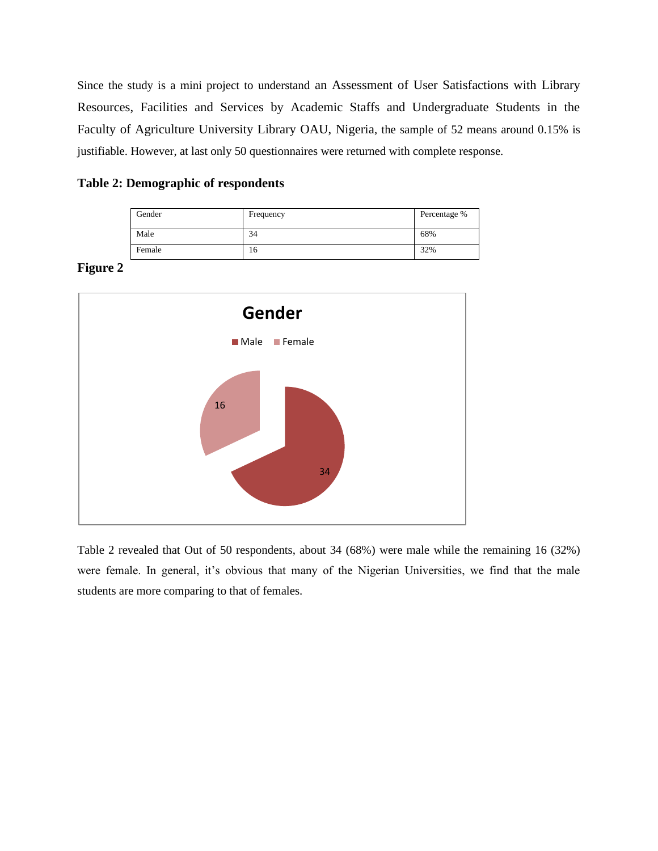Since the study is a mini project to understand an Assessment of User Satisfactions with Library Resources, Facilities and Services by Academic Staffs and Undergraduate Students in the Faculty of Agriculture University Library OAU, Nigeria, the sample of 52 means around 0.15% is justifiable. However, at last only 50 questionnaires were returned with complete response.

|  | <b>Table 2: Demographic of respondents</b> |  |  |
|--|--------------------------------------------|--|--|
|  |                                            |  |  |

| Gender | Frequency | Percentage % |
|--------|-----------|--------------|
| Male   | 34        | 68%          |
| Female | 16        | 32%          |

### **Figure 2**



Table 2 revealed that Out of 50 respondents, about 34 (68%) were male while the remaining 16 (32%) were female. In general, it's obvious that many of the Nigerian Universities, we find that the male students are more comparing to that of females.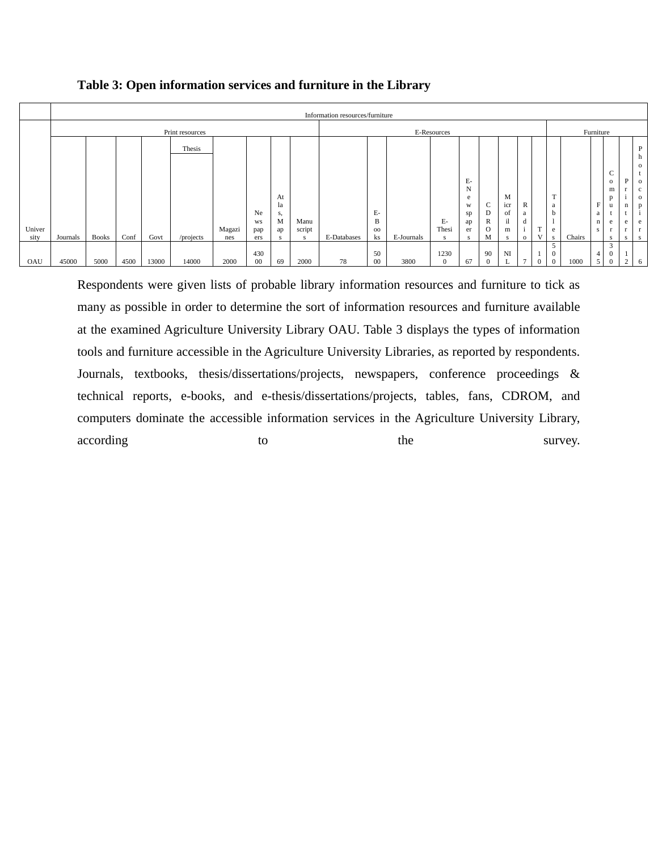|        |                 | Information resources/furniture |      |       |           |        |        |          |        |             |             |            |          |         |          |           |                |          |        |           |                |                   |     |                             |
|--------|-----------------|---------------------------------|------|-------|-----------|--------|--------|----------|--------|-------------|-------------|------------|----------|---------|----------|-----------|----------------|----------|--------|-----------|----------------|-------------------|-----|-----------------------------|
|        | Print resources |                                 |      |       |           |        |        |          |        |             | E-Resources |            |          |         |          |           |                |          |        | Furniture |                |                   |     |                             |
|        |                 |                                 |      |       | Thesis    |        |        |          |        |             |             |            |          |         |          |           |                |          |        |           |                |                   |     | P                           |
|        |                 |                                 |      |       |           |        |        |          |        |             |             |            |          |         |          |           |                |          |        |           |                |                   |     | п<br>$\circ$                |
|        |                 |                                 |      |       |           |        |        |          |        |             |             |            |          |         |          |           |                |          |        |           |                | ∼<br>◡            | P   |                             |
|        |                 |                                 |      |       |           |        |        |          |        |             |             |            |          | E-<br>N |          |           |                |          |        |           |                | $\mathbf{o}$<br>m |     | $\mathbf{o}$<br>$\mathbf c$ |
|        |                 |                                 |      |       |           |        |        | At       |        |             |             |            |          | e       |          | M         |                |          | T      |           |                | p                 |     | $\mathbf{o}$                |
|        |                 |                                 |      |       |           |        | Ne     | la<br>s, |        |             | Е-          |            |          | W<br>sp | ◡<br>D   | icr<br>of | R<br>a         |          | a<br>h |           | F<br>a         | u                 | n   | p                           |
|        |                 |                                 |      |       |           |        | WS     | M        | Manu   |             | B           |            | $E-$     | ap      | R        | il        | d              |          |        |           | $\mathbf n$    | e                 | e   | e                           |
| Univer |                 |                                 |      |       |           | Magazi | pap    | ap       | script |             | $_{00}$     |            | Thesi    | er      | $\circ$  | m         | $\sim$         | m        | e      |           | S.             |                   |     |                             |
| sity   | Journals        | <b>Books</b>                    | Conf | Govt  | /projects | nes    | ers    | s        | s      | E-Databases | ks          | E-Journals | s        | s       | M        | s         | $\circ$        |          |        | Chairs    |                | s                 | s.  | -S                          |
|        |                 |                                 |      |       |           |        | 430    |          |        |             | 50          |            | 1230     |         | 90       | N         |                |          | J.     |           | $\overline{4}$ | 3<br>$\bf{0}$     |     |                             |
| OAU    | 45000           | 5000                            | 4500 | 13000 | 14000     | 2000   | $00\,$ | 69       | 2000   | 78          | 00          | 3800       | $\Omega$ | 67      | $\theta$ |           | $\overline{ }$ | $\Omega$ |        | 1000      | 5              | $\mathbf{0}$      | - 1 |                             |

**Table 3: Open information services and furniture in the Library**

Respondents were given lists of probable library information resources and furniture to tick as many as possible in order to determine the sort of information resources and furniture available at the examined Agriculture University Library OAU. Table 3 displays the types of information tools and furniture accessible in the Agriculture University Libraries, as reported by respondents. Journals, textbooks, thesis/dissertations/projects, newspapers, conference proceedings & technical reports, e-books, and e-thesis/dissertations/projects, tables, fans, CDROM, and computers dominate the accessible information services in the Agriculture University Library, according to the survey.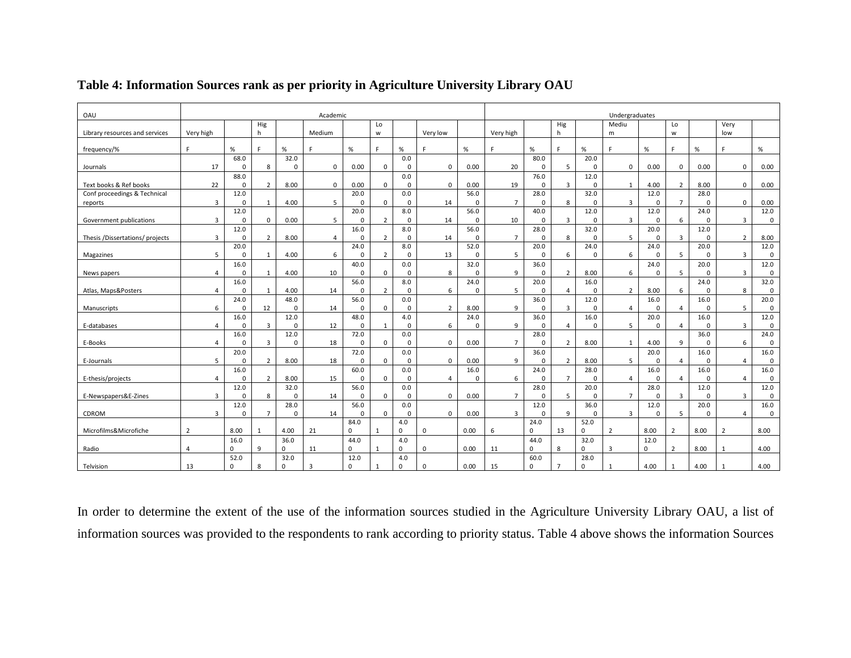| Hig<br>Hig<br>Mediu<br>Lo<br>Lo<br>Very high<br>h<br>Medium<br>Very low<br>Very high<br>Library resources and services<br>w<br>h<br>W<br>m                                                                                                                                                | Very<br>low                           |
|-------------------------------------------------------------------------------------------------------------------------------------------------------------------------------------------------------------------------------------------------------------------------------------------|---------------------------------------|
| %<br>$\%$<br>$\%$<br>%<br>$\%$<br>F.<br>$\%$<br>$\%$<br>$\%$<br>F.<br>$\%$<br>F<br>c.<br>E.<br>c.<br>E.<br>frequency/%<br>с<br>F.                                                                                                                                                         | $\%$<br>F.                            |
| 32.0<br>80.0<br>68.0<br>0.0<br>20.0<br>5<br>$\Omega$<br>$\Omega$                                                                                                                                                                                                                          |                                       |
| 17<br>8<br>$\mathbf 0$<br>$\mathbf 0$<br>0.00<br>20<br>$\mathbf 0$<br>0.00<br>$\mathbf 0$<br>$\mathbf 0$<br>0.00<br>0<br>$\mathbf 0$<br>$\mathbf 0$<br>0.00<br>Journals<br>88.0<br>76.0<br>12.0<br>0.0                                                                                    | $\mathbf 0$<br>0.00                   |
| 22<br>19<br>$\overline{3}$<br>Text books & Ref books<br>$\overline{2}$<br>8.00<br>$\mathbf 0$<br>0.00<br>0<br>$\mathbf 0$<br>0.00<br>$\mathbf 0$<br>4.00<br>$\overline{2}$<br>8.00<br>0<br>0<br>$\Omega$<br>1                                                                             | $\mathbf 0$<br>0.00                   |
| 12.0<br>20.0<br>56.0<br>32.0<br>28.0<br>Conf proceedings & Technical<br>0.0<br>28.0<br>12.0                                                                                                                                                                                               |                                       |
| 5<br>$\overline{7}$<br>$\overline{3}$<br>$\overline{3}$<br>14<br>$\mathbf 0$<br>8<br>$\mathbf 0$<br>$\overline{7}$<br>$\mathbf 0$<br>$\mathbf 0$<br>$\mathbf{1}$<br>4.00<br>0<br>0<br>$\mathbf 0$<br>$\Omega$<br>$\mathbf 0$<br>reports                                                   | $\mathbf 0$<br>0.00                   |
| 24.0<br>12.0<br>20.0<br>8.0<br>56.0<br>40.0<br>12.0<br>12.0                                                                                                                                                                                                                               | 12.0                                  |
| $\overline{3}$<br>$\overline{3}$<br>6<br>3<br>$\mathbf 0$<br>0.00<br>5<br>$\overline{2}$<br>14<br>10<br>$\mathbf 0$<br>$\mathbf 0$<br>$\mathbf 0$<br>Government publications<br>$\mathbf 0$<br>0<br>$\mathbf 0$<br>$\mathbf 0$<br>$\mathbf 0$<br>56.0<br>28.0<br>32.0                     | $\mathsf 0$<br>3                      |
| 12.0<br>16.0<br>8.0<br>20.0<br>12.0<br>8<br>5<br>$\overline{3}$<br>$\overline{2}$<br>8.00<br>$\overline{4}$<br>$\overline{2}$<br>$\mathbf 0$<br>14<br>$\overline{7}$<br>$\mathbf 0$<br>$\mathbf 0$<br>0<br>3<br>Thesis /Dissertations/ projects<br>$\Omega$<br>0<br>$\mathbf 0$<br>0      | $\overline{2}$<br>8.00                |
| 20.0<br>24.0<br>8.0<br>52.0<br>24.0<br>20.0<br>20.0<br>24.0                                                                                                                                                                                                                               | 12.0                                  |
| 6<br>5<br>6<br>6<br>5<br>5<br>$\mathbf{1}$<br>4.00<br>$\overline{2}$<br>13<br>$\Omega$<br>$\mathbf 0$<br>0<br>$\mathbf 0$<br>$\Omega$<br>$\Omega$<br>$\mathbf 0$<br>$\mathbf 0$<br>Magazines                                                                                              | 3<br>$\mathbf 0$                      |
| 40.0<br>32.0<br>36.0<br>20.0<br>16.0<br>0.0<br>24.0                                                                                                                                                                                                                                       | 12.0                                  |
| 9<br>10<br>0<br>8<br>$\overline{2}$<br>8.00<br>6<br>0<br>5<br>$\mathbf 0$<br>$\overline{4}$<br>0<br>1<br>4.00<br>0<br>0<br>$\Omega$<br>0<br>News papers                                                                                                                                   | 3<br>$\pmb{0}$                        |
| 16.0<br>56.0<br>8.0<br>24.0<br>20.0<br>16.0<br>24.0                                                                                                                                                                                                                                       | 32.0                                  |
| 4.00<br>14<br>6<br>5<br>6<br>Atlas, Maps&Posters<br>$\overline{4}$<br>$\mathbf 0$<br>1<br>$\overline{2}$<br>$\mathbf 0$<br>$\mathbf 0$<br>$\mathbf 0$<br>$\overline{4}$<br>$\mathbf 0$<br>$\overline{2}$<br>8.00<br>0<br>0                                                                | 8<br>$\mathbf 0$                      |
| 24.0<br>48.0<br>56.0<br>0.0<br>36.0<br>12.0<br>16.0<br>16.0<br>6<br>12<br>14<br>9<br>$\overline{3}$<br>$\mathbf 0$<br>$\overline{2}$<br>8.00<br>$\Omega$<br>$\mathbf 0$<br>$\overline{4}$<br>0<br>$\overline{4}$<br>$\mathbf 0$<br>0<br>0<br>0<br>0<br>Manuscripts                        | 20.0<br>$\mathbf 0$<br>5              |
| 16.0<br>12.0<br>48.0<br>24.0<br>36.0<br>16.0<br>20.0<br>16.0<br>4.0                                                                                                                                                                                                                       | 12.0                                  |
| 12<br>3<br>$\mathbf 0$<br>0<br>0<br>6<br>9<br>$\overline{4}$<br>0<br>5<br>0<br>$\mathbf 0$<br>E-databases<br>4<br>0<br>$\Omega$<br>0<br>$\overline{4}$<br>$\mathbf{1}$                                                                                                                    | 3<br>$\mathbf 0$                      |
| 12.0<br>72.0<br>28.0<br>36.0<br>16.0<br>0.0                                                                                                                                                                                                                                               | 24.0                                  |
| $\overline{7}$<br>$\overline{3}$<br>18<br>$\overline{2}$<br>9<br>$\mathbf 0$<br>$\Omega$<br>$\mathbf 0$<br>$\mathbf 0$<br>0.00<br>8.00<br>$\mathbf{1}$<br>4.00<br>$\mathbf 0$<br>E-Books<br>$\overline{a}$<br>$\Omega$<br>0<br>$\mathbf 0$                                                | 6<br>$\mathbf 0$                      |
| 72.0<br>20.0<br>0.0<br>36.0<br>20.0<br>16.0                                                                                                                                                                                                                                               | 16.0                                  |
| 9<br>$\overline{2}$<br>5<br>5<br>$\overline{2}$<br>8.00<br>18<br>0<br>$\mathbf 0$<br>$\mathbf 0$<br>0.00<br>$\mathbf 0$<br>8.00<br>0<br>$\overline{4}$<br>$\mathbf 0$<br>0<br>0<br>E-Journals                                                                                             | $\mathbf 0$<br>4                      |
| 16.0<br>16.0<br>60.0<br>0.0<br>16.0<br>24.0<br>28.0<br>16.0<br>15<br>6<br>$\overline{7}$<br>$\overline{4}$<br>$\mathbf 0$<br>$\overline{2}$<br>0<br>$\Omega$<br>$\mathbf 0$<br>$\overline{4}$<br>$\Omega$<br>$\Omega$<br>$\Omega$<br>$\overline{4}$<br>0<br>$\overline{4}$<br>$\mathbf 0$ | 16.0<br>$\mathbf 0$<br>$\overline{4}$ |
| 8.00<br>E-thesis/projects<br>32.0<br>12.0<br>56.0<br>0.0<br>28.0<br>20.0<br>28.0<br>12.0                                                                                                                                                                                                  | 12.0                                  |
| $\overline{3}$<br>8<br>$\overline{7}$<br>5<br>$\overline{7}$<br>$\overline{3}$<br>E-Newspapers&E-Zines<br>$\mathbf 0$<br>14<br>0<br>$\mathbf 0$<br>0.00<br>$\mathbf 0$<br>0<br>$\mathbf 0$<br>$\mathbf 0$<br>$\mathbf 0$<br>$\mathbf 0$<br>0                                              | 3<br>$\mathbf 0$                      |
| 28.0<br>56.0<br>36.0<br>20.0<br>12.0<br>0.0<br>12.0<br>12.0                                                                                                                                                                                                                               | 16.0                                  |
| $\overline{7}$<br>14<br>9<br>$\overline{3}$<br>3<br>$\mathbf 0$<br>0<br>$\mathbf 0$<br>$\mathbf 0$<br>0.00<br>$\overline{3}$<br>$\Omega$<br>$\Omega$<br>$\mathbf 0$<br>5<br>0<br>CDROM<br>$\Omega$<br>0                                                                                   | $\mathsf 0$<br>4                      |
| 84.0<br>52.0<br>4.0<br>24.0                                                                                                                                                                                                                                                               |                                       |
| $\mathbf 0$<br>$\overline{2}$<br>8.00<br>4.00<br>21<br>$\Omega$<br>13<br>$\overline{2}$<br>8.00<br>$\overline{2}$<br>8.00<br>Microfilms&Microfiche<br>$\Omega$<br>0.00<br>6<br>$\Omega$<br>$\Omega$<br>$\mathbf{1}$<br>$\mathbf{1}$                                                       | 8.00<br>$\overline{2}$                |
| 16.0<br>44.0<br>32.0<br>36.0<br>4.0<br>44.0<br>12.0                                                                                                                                                                                                                                       |                                       |
| $\mathbf 0$<br>0<br>0<br>11<br>$\mathbf 0$<br>$\mathbf 0$<br>0.00<br>$\Omega$<br>8<br>0<br>3<br>0<br>$\overline{2}$<br>8.00<br>Radio<br>9<br>$\mathbf{1}$<br>11<br>$\overline{4}$<br>52.0<br>32.0<br>12.0<br>4.0<br>60.0<br>28.0                                                          | 4.00<br>$\mathbf{1}$                  |
| $\Omega$<br>$\mathbf 0$<br>$\Omega$<br>0.00<br>15<br>4.00<br>4.00<br>Telvision<br>13<br>8<br>0<br>3<br>$\Omega$<br>$\overline{7}$<br>0<br>$\mathbf{1}$<br>$\Omega$<br>1                                                                                                                   | 4.00<br>$\mathbf{1}$                  |

## **Table 4: Information Sources rank as per priority in Agriculture University Library OAU**

In order to determine the extent of the use of the information sources studied in the Agriculture University Library OAU, a list of information sources was provided to the respondents to rank according to priority status. Table 4 above shows the information Sources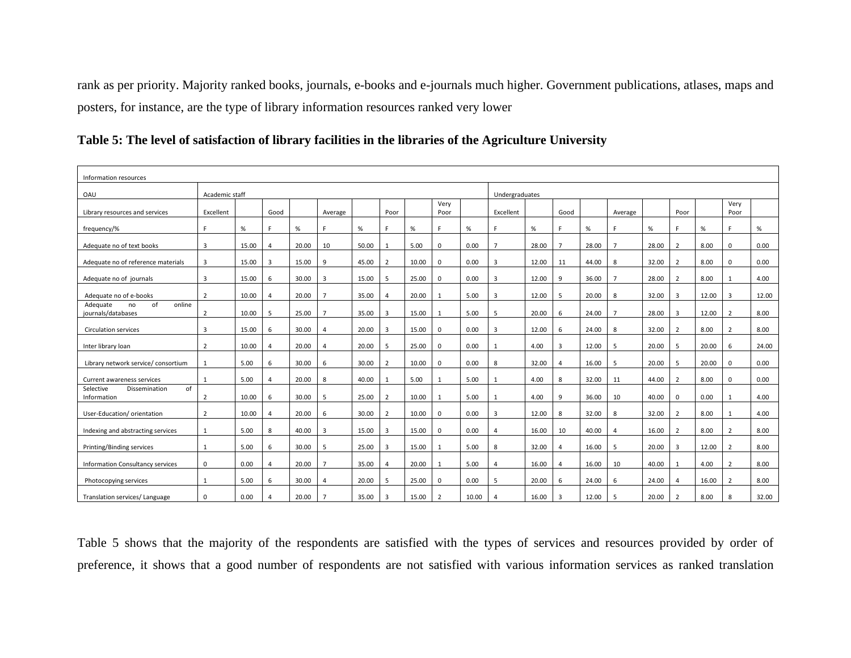rank as per priority. Majority ranked books, journals, e-books and e-journals much higher. Government publications, atlases, maps and posters, for instance, are the type of library information resources ranked very lower

| Information resources                                |                |       |      |       |                |       |                |       |                |       |                |       |                |       |                |       |                |       |                |       |
|------------------------------------------------------|----------------|-------|------|-------|----------------|-------|----------------|-------|----------------|-------|----------------|-------|----------------|-------|----------------|-------|----------------|-------|----------------|-------|
| OAU                                                  | Academic staff |       |      |       |                |       |                |       |                |       | Undergraduates |       |                |       |                |       |                |       |                |       |
| Library resources and services                       | Excellent      |       | Good |       | Average        |       | Poor           |       | Very<br>Poor   |       | Excellent      |       | Good           |       | Average        |       | Poor           |       | Very<br>Poor   |       |
| frequency/%                                          | E              | $\%$  | E.   | %     | F              | %     | F.             | $\%$  | c              | %     | F              | $\%$  | c              | $\%$  | F              | $\%$  | F.             | $\%$  | F              | %     |
| Adequate no of text books                            | 3              | 15.00 | 4    | 20.00 | 10             | 50.00 | 1              | 5.00  | 0              | 0.00  | $\overline{7}$ | 28.00 |                | 28.00 | $\overline{7}$ | 28.00 | $\overline{2}$ | 8.00  | 0              | 0.00  |
| Adequate no of reference materials                   | 3              | 15.00 | 3    | 15.00 | 9              | 45.00 | 2              | 10.00 | $\Omega$       | 0.00  | 3              | 12.00 | 11             | 44.00 | 8              | 32.00 | $\overline{2}$ | 8.00  | $\Omega$       | 0.00  |
| Adequate no of journals                              | $\overline{3}$ | 15.00 | 6    | 30.00 | 3              | 15.00 | 5              | 25.00 | $\mathbf 0$    | 0.00  | 3              | 12.00 | 9              | 36.00 | $\overline{7}$ | 28.00 | $\overline{2}$ | 8.00  |                | 4.00  |
| Adequate no of e-books                               | $\overline{2}$ | 10.00 | 4    | 20.00 | $\overline{7}$ | 35.00 | 4              | 20.00 |                | 5.00  | 3              | 12.00 | -5             | 20.00 | 8              | 32.00 | $\overline{3}$ | 12.00 | 3              | 12.00 |
| of<br>online<br>Adequate<br>no<br>journals/databases | 2              | 10.00 | 5    | 25.00 | $\overline{7}$ | 35.00 | 3              | 15.00 |                | 5.00  | 5              | 20.00 | 6              | 24.00 | $\overline{7}$ | 28.00 | $\overline{3}$ | 12.00 | $\overline{2}$ | 8.00  |
| <b>Circulation services</b>                          | 3              | 15.00 | 6    | 30.00 | $\overline{4}$ | 20.00 | 3              | 15.00 | $\Omega$       | 0.00  | 3              | 12.00 | 6              | 24.00 | 8              | 32.00 | 2              | 8.00  | $\overline{2}$ | 8.00  |
| Inter library loan                                   | $\overline{2}$ | 10.00 | 4    | 20.00 | $\overline{a}$ | 20.00 | 5              | 25.00 | $\Omega$       | 0.00  | 1              | 4.00  | $\overline{3}$ | 12.00 | 5              | 20.00 | 5              | 20.00 | 6              | 24.00 |
| Library network service/ consortium                  | 1              | 5.00  | 6    | 30.00 | 6              | 30.00 | $\overline{2}$ | 10.00 | $\mathbf 0$    | 0.00  | 8              | 32.00 | $\overline{4}$ | 16.00 | 5              | 20.00 | 5              | 20.00 | 0              | 0.00  |
| Current awareness services                           | $\mathbf{1}$   | 5.00  | 4    | 20.00 | 8              | 40.00 | $\mathbf{1}$   | 5.00  |                | 5.00  | 1              | 4.00  | 8              | 32.00 | 11             | 44.00 | 2              | 8.00  | $\Omega$       | 0.00  |
| of<br>Selective<br>Dissemination<br>Information      | $\overline{2}$ | 10.00 | 6    | 30.00 | 5              | 25.00 | 2              | 10.00 |                | 5.00  |                | 4.00  | 9              | 36.00 | 10             | 40.00 | 0              | 0.00  |                | 4.00  |
| User-Education/orientation                           | $\overline{2}$ | 10.00 | 4    | 20.00 | 6              | 30.00 | 2              | 10.00 | $\Omega$       | 0.00  | 3              | 12.00 | 8              | 32.00 | 8              | 32.00 | $\overline{2}$ | 8.00  |                | 4.00  |
| Indexing and abstracting services                    | 1              | 5.00  | 8    | 40.00 | 3              | 15.00 | 3              | 15.00 | $\mathbf 0$    | 0.00  | 4              | 16.00 | 10             | 40.00 | 4              | 16.00 | $\overline{2}$ | 8.00  | $\overline{2}$ | 8.00  |
| Printing/Binding services                            | $\mathbf{1}$   | 5.00  | 6    | 30.00 | 5              | 25.00 | 3              | 15.00 |                | 5.00  | 8              | 32.00 | $\Delta$       | 16.00 | 5              | 20.00 | $\overline{3}$ | 12.00 | 2              | 8.00  |
| Information Consultancy services                     | 0              | 0.00  | 4    | 20.00 | $\overline{7}$ | 35.00 | 4              | 20.00 |                | 5.00  | 4              | 16.00 | $\overline{4}$ | 16.00 | 10             | 40.00 | 1              | 4.00  | $\overline{2}$ | 8.00  |
| Photocopying services                                | 1              | 5.00  | 6    | 30.00 | $\overline{4}$ | 20.00 | 5              | 25.00 | $\Omega$       | 0.00  | 5              | 20.00 | 6              | 24.00 | 6              | 24.00 | $\overline{4}$ | 16.00 | $\overline{2}$ | 8.00  |
| Translation services/ Language                       | $\Omega$       | 0.00  | Δ    | 20.00 | $\overline{7}$ | 35.00 | 3              | 15.00 | $\overline{2}$ | 10.00 | $\Delta$       | 16.00 | 3              | 12.00 | 5              | 20.00 | $\overline{2}$ | 8.00  | 8              | 32.00 |

|  | Table 5: The level of satisfaction of library facilities in the libraries of the Agriculture University |  |  |  |  |
|--|---------------------------------------------------------------------------------------------------------|--|--|--|--|
|  |                                                                                                         |  |  |  |  |

Table 5 shows that the majority of the respondents are satisfied with the types of services and resources provided by order of preference, it shows that a good number of respondents are not satisfied with various information services as ranked translation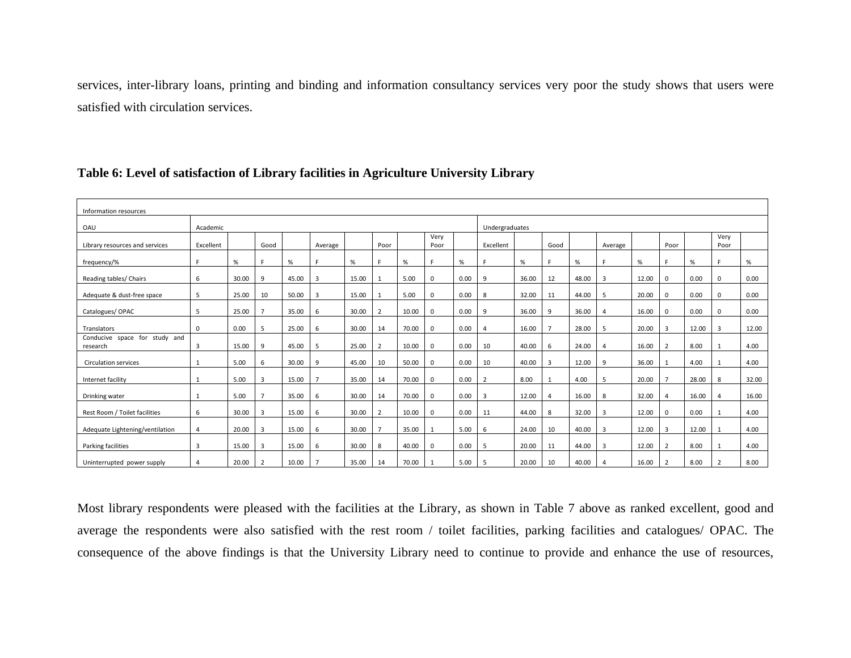services, inter-library loans, printing and binding and information consultancy services very poor the study shows that users were satisfied with circulation services.

| Information resources                     |           |       |                |       |                |       |                |       |              |      |                |       |      |       |         |       |                |       |                |       |
|-------------------------------------------|-----------|-------|----------------|-------|----------------|-------|----------------|-------|--------------|------|----------------|-------|------|-------|---------|-------|----------------|-------|----------------|-------|
| OAU                                       | Academic  |       |                |       |                |       |                |       |              |      | Undergraduates |       |      |       |         |       |                |       |                |       |
| Library resources and services            | Excellent |       | Good           |       | Average        |       | Poor           |       | Very<br>Poor |      | Excellent      |       | Good |       | Average |       | Poor           |       | Very<br>Poor   |       |
| frequency/%                               | F         | $\%$  | F              | $\%$  |                | $\%$  | е              | $\%$  | F.           | %    |                | $\%$  | E.   | $\%$  |         | $\%$  | Е              | $\%$  | F              | $\%$  |
| Reading tables/ Chairs                    | 6         | 30.00 | 9              | 45.00 | 3              | 15.00 |                | 5.00  | $\mathbf 0$  | 0.00 | 9              | 36.00 | 12   | 48.00 | 3       | 12.00 | 0              | 0.00  | 0              | 0.00  |
| Adequate & dust-free space                | 5         | 25.00 | 10             | 50.00 | 3              | 15.00 |                | 5.00  | $\mathbf 0$  | 0.00 | 8              | 32.00 | 11   | 44.00 | 5       | 20.00 | 0              | 0.00  | <sup>0</sup>   | 0.00  |
| Catalogues/OPAC                           | 5         | 25.00 |                | 35.00 | 6              | 30.00 | $\overline{2}$ | 10.00 | $\mathbf 0$  | 0.00 | 9              | 36.00 | 9    | 36.00 | 4       | 16.00 | $\mathbf 0$    | 0.00  | 0              | 0.00  |
| Translators                               | 0         | 0.00  | 5              | 25.00 | 6              | 30.00 | 14             | 70.00 | $\mathbf 0$  | 0.00 | 4              | 16.00 |      | 28.00 | 5       | 20.00 | 3              | 12.00 | 3              | 12.00 |
| Conducive space for study and<br>research | 3         | 15.00 | 9              | 45.00 | 5              | 25.00 | $\overline{2}$ | 10.00 | $\mathbf 0$  | 0.00 | 10             | 40.00 | 6    | 24.00 | 4       | 16.00 | $\overline{2}$ | 8.00  |                | 4.00  |
| Circulation services                      |           | 5.00  | 6              | 30.00 | 9              | 45.00 | 10             | 50.00 | $\mathbf 0$  | 0.00 | 10             | 40.00 | 3    | 12.00 | 9       | 36.00 | $\mathbf{1}$   | 4.00  |                | 4.00  |
| Internet facility                         |           | 5.00  | 3              | 15.00 | $\overline{7}$ | 35.00 | 14             | 70.00 | $\mathbf 0$  | 0.00 | $\overline{2}$ | 8.00  |      | 4.00  | 5       | 20.00 | $\overline{7}$ | 28.00 | 8              | 32.00 |
| Drinking water                            | 1         | 5.00  |                | 35.00 | 6              | 30.00 | 14             | 70.00 | $\mathbf 0$  | 0.00 | 3              | 12.00 | 4    | 16.00 | 8       | 32.00 | 4              | 16.00 | Δ              | 16.00 |
| Rest Room / Toilet facilities             | 6         | 30.00 | 3              | 15.00 | 6              | 30.00 | $\overline{2}$ | 10.00 | $\mathbf 0$  | 0.00 | 11             | 44.00 | 8    | 32.00 | 3       | 12.00 | $\mathbf 0$    | 0.00  |                | 4.00  |
| Adequate Lightening/ventilation           | 4         | 20.00 | 3              | 15.00 | 6              | 30.00 |                | 35.00 | 1            | 5.00 | 6              | 24.00 | 10   | 40.00 | 3       | 12.00 | 3              | 12.00 |                | 4.00  |
| Parking facilities                        | 3         | 15.00 | 3              | 15.00 | 6              | 30.00 | 8              | 40.00 | $\mathbf 0$  | 0.00 | 5              | 20.00 | 11   | 44.00 | 3       | 12.00 | $\overline{2}$ | 8.00  |                | 4.00  |
| Uninterrupted power supply                | 4         | 20.00 | $\overline{2}$ | 10.00 | $\overline{7}$ | 35.00 | 14             | 70.00 | 1            | 5.00 | 5              | 20.00 | 10   | 40.00 | 4       | 16.00 | $\overline{2}$ | 8.00  | $\overline{2}$ | 8.00  |

### **Table 6: Level of satisfaction of Library facilities in Agriculture University Library**

Most library respondents were pleased with the facilities at the Library, as shown in Table 7 above as ranked excellent, good and average the respondents were also satisfied with the rest room / toilet facilities, parking facilities and catalogues/ OPAC. The consequence of the above findings is that the University Library need to continue to provide and enhance the use of resources,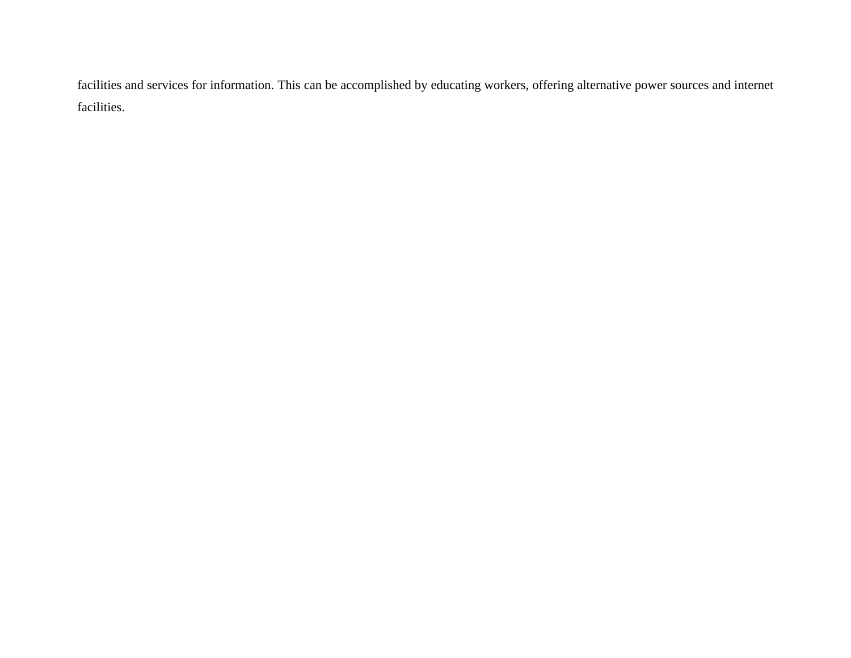facilities and services for information. This can be accomplished by educating workers, offering alternative power sources and internet facilities.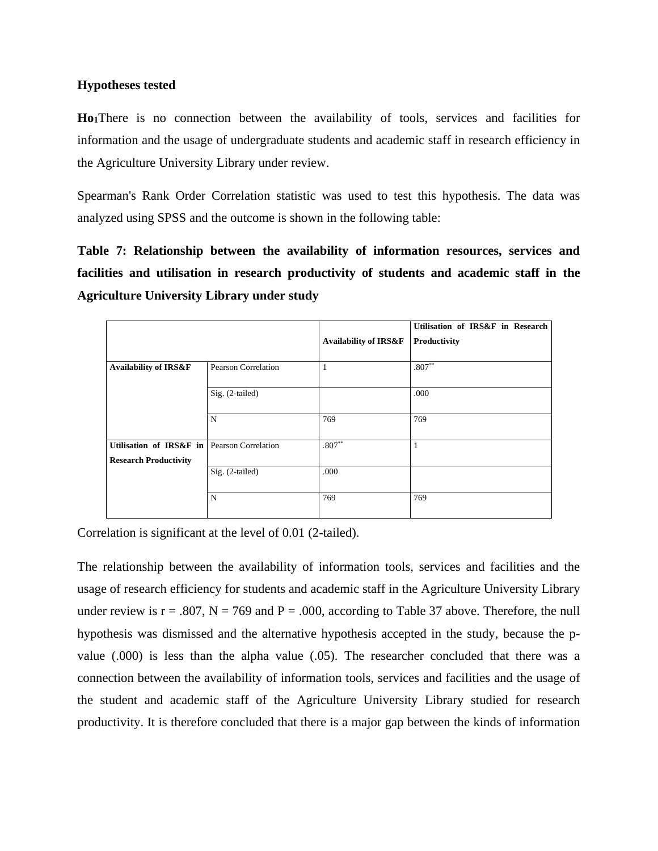### **Hypotheses tested**

**Ho1**There is no connection between the availability of tools, services and facilities for information and the usage of undergraduate students and academic staff in research efficiency in the Agriculture University Library under review.

Spearman's Rank Order Correlation statistic was used to test this hypothesis. The data was analyzed using SPSS and the outcome is shown in the following table:

**Table 7: Relationship between the availability of information resources, services and facilities and utilisation in research productivity of students and academic staff in the Agriculture University Library under study**

|                                                                             |                            |                                  | Utilisation of IRS&F in Research |
|-----------------------------------------------------------------------------|----------------------------|----------------------------------|----------------------------------|
|                                                                             |                            | <b>Availability of IRS&amp;F</b> | Productivity                     |
| <b>Availability of IRS&amp;F</b>                                            | <b>Pearson Correlation</b> | 1                                | $.807***$                        |
|                                                                             | Sig. (2-tailed)            |                                  | .000                             |
|                                                                             | N                          | 769                              | 769                              |
| Utilisation of IRS&F in Pearson Correlation<br><b>Research Productivity</b> |                            | $.807**$                         | $\mathbf{1}$                     |
|                                                                             | $Sig. (2-tailed)$          | .000                             |                                  |
|                                                                             | N                          | 769                              | 769                              |

Correlation is significant at the level of 0.01 (2-tailed).

The relationship between the availability of information tools, services and facilities and the usage of research efficiency for students and academic staff in the Agriculture University Library under review is  $r = .807$ ,  $N = 769$  and  $P = .000$ , according to Table 37 above. Therefore, the null hypothesis was dismissed and the alternative hypothesis accepted in the study, because the pvalue (.000) is less than the alpha value (.05). The researcher concluded that there was a connection between the availability of information tools, services and facilities and the usage of the student and academic staff of the Agriculture University Library studied for research productivity. It is therefore concluded that there is a major gap between the kinds of information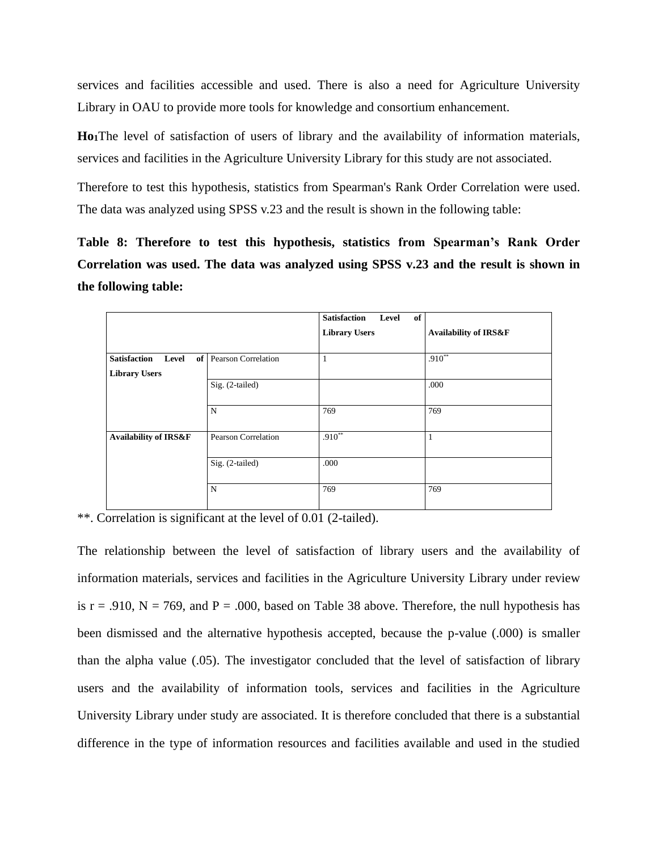services and facilities accessible and used. There is also a need for Agriculture University Library in OAU to provide more tools for knowledge and consortium enhancement.

**Ho1**The level of satisfaction of users of library and the availability of information materials, services and facilities in the Agriculture University Library for this study are not associated.

Therefore to test this hypothesis, statistics from Spearman's Rank Order Correlation were used. The data was analyzed using SPSS v.23 and the result is shown in the following table:

**Table 8: Therefore to test this hypothesis, statistics from Spearman's Rank Order Correlation was used. The data was analyzed using SPSS v.23 and the result is shown in the following table:**

|                                  |                            | <b>Satisfaction</b><br>Level<br>of |                                  |
|----------------------------------|----------------------------|------------------------------------|----------------------------------|
|                                  |                            | <b>Library Users</b>               | <b>Availability of IRS&amp;F</b> |
|                                  |                            |                                    |                                  |
| <b>Satisfaction</b><br>Level     | of Pearson Correlation     | 1                                  | $.910**$                         |
| <b>Library Users</b>             |                            |                                    |                                  |
|                                  | Sig. (2-tailed)            |                                    | .000                             |
|                                  |                            |                                    |                                  |
|                                  | $\mathbf N$                | 769                                | 769                              |
|                                  |                            |                                    |                                  |
| <b>Availability of IRS&amp;F</b> | <b>Pearson Correlation</b> | $.910**$                           |                                  |
|                                  |                            |                                    |                                  |
|                                  | Sig. (2-tailed)            | .000                               |                                  |
|                                  |                            |                                    |                                  |
|                                  | N                          | 769                                | 769                              |
|                                  |                            |                                    |                                  |

\*\*. Correlation is significant at the level of 0.01 (2-tailed).

The relationship between the level of satisfaction of library users and the availability of information materials, services and facilities in the Agriculture University Library under review is  $r = .910$ ,  $N = 769$ , and  $P = .000$ , based on Table 38 above. Therefore, the null hypothesis has been dismissed and the alternative hypothesis accepted, because the p-value (.000) is smaller than the alpha value (.05). The investigator concluded that the level of satisfaction of library users and the availability of information tools, services and facilities in the Agriculture University Library under study are associated. It is therefore concluded that there is a substantial difference in the type of information resources and facilities available and used in the studied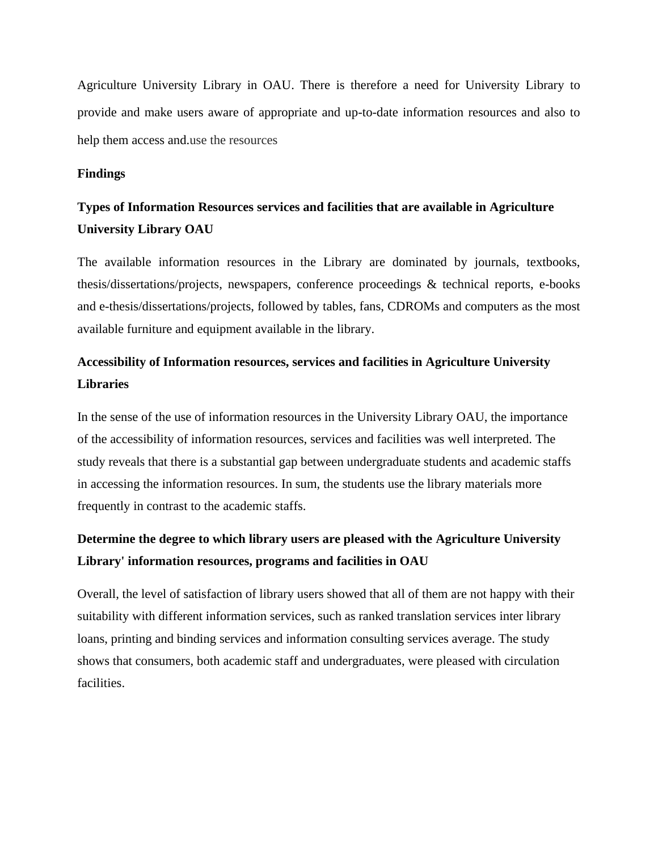Agriculture University Library in OAU. There is therefore a need for University Library to provide and make users aware of appropriate and up-to-date information resources and also to help them access and.use the resources

### **Findings**

## **Types of Information Resources services and facilities that are available in Agriculture University Library OAU**

The available information resources in the Library are dominated by journals, textbooks, thesis/dissertations/projects, newspapers, conference proceedings & technical reports, e-books and e-thesis/dissertations/projects, followed by tables, fans, CDROMs and computers as the most available furniture and equipment available in the library.

## **Accessibility of Information resources, services and facilities in Agriculture University Libraries**

In the sense of the use of information resources in the University Library OAU, the importance of the accessibility of information resources, services and facilities was well interpreted. The study reveals that there is a substantial gap between undergraduate students and academic staffs in accessing the information resources. In sum, the students use the library materials more frequently in contrast to the academic staffs.

## **Determine the degree to which library users are pleased with the Agriculture University Library' information resources, programs and facilities in OAU**

Overall, the level of satisfaction of library users showed that all of them are not happy with their suitability with different information services, such as ranked translation services inter library loans, printing and binding services and information consulting services average. The study shows that consumers, both academic staff and undergraduates, were pleased with circulation facilities.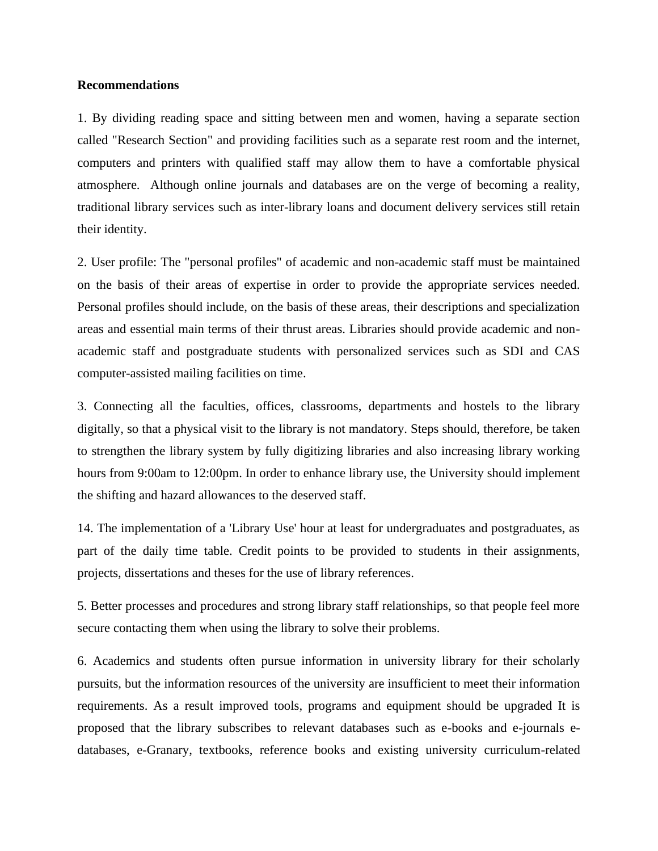#### **Recommendations**

1. By dividing reading space and sitting between men and women, having a separate section called "Research Section" and providing facilities such as a separate rest room and the internet, computers and printers with qualified staff may allow them to have a comfortable physical atmosphere. Although online journals and databases are on the verge of becoming a reality, traditional library services such as inter-library loans and document delivery services still retain their identity.

2. User profile: The "personal profiles" of academic and non-academic staff must be maintained on the basis of their areas of expertise in order to provide the appropriate services needed. Personal profiles should include, on the basis of these areas, their descriptions and specialization areas and essential main terms of their thrust areas. Libraries should provide academic and nonacademic staff and postgraduate students with personalized services such as SDI and CAS computer-assisted mailing facilities on time.

3. Connecting all the faculties, offices, classrooms, departments and hostels to the library digitally, so that a physical visit to the library is not mandatory. Steps should, therefore, be taken to strengthen the library system by fully digitizing libraries and also increasing library working hours from 9:00am to 12:00pm. In order to enhance library use, the University should implement the shifting and hazard allowances to the deserved staff.

14. The implementation of a 'Library Use' hour at least for undergraduates and postgraduates, as part of the daily time table. Credit points to be provided to students in their assignments, projects, dissertations and theses for the use of library references.

5. Better processes and procedures and strong library staff relationships, so that people feel more secure contacting them when using the library to solve their problems.

6. Academics and students often pursue information in university library for their scholarly pursuits, but the information resources of the university are insufficient to meet their information requirements. As a result improved tools, programs and equipment should be upgraded It is proposed that the library subscribes to relevant databases such as e-books and e-journals edatabases, e-Granary, textbooks, reference books and existing university curriculum-related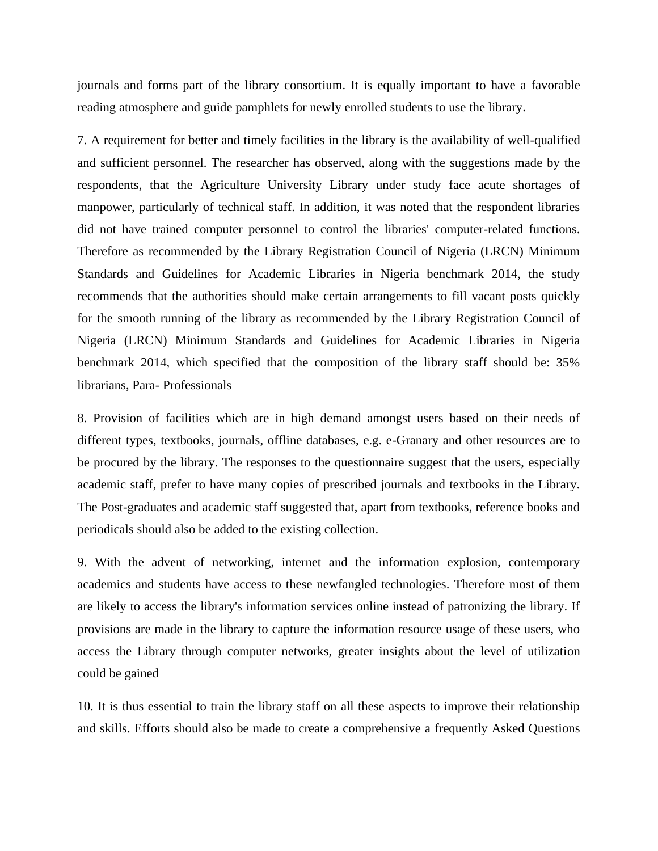journals and forms part of the library consortium. It is equally important to have a favorable reading atmosphere and guide pamphlets for newly enrolled students to use the library.

7. A requirement for better and timely facilities in the library is the availability of well-qualified and sufficient personnel. The researcher has observed, along with the suggestions made by the respondents, that the Agriculture University Library under study face acute shortages of manpower, particularly of technical staff. In addition, it was noted that the respondent libraries did not have trained computer personnel to control the libraries' computer-related functions. Therefore as recommended by the Library Registration Council of Nigeria (LRCN) Minimum Standards and Guidelines for Academic Libraries in Nigeria benchmark 2014, the study recommends that the authorities should make certain arrangements to fill vacant posts quickly for the smooth running of the library as recommended by the Library Registration Council of Nigeria (LRCN) Minimum Standards and Guidelines for Academic Libraries in Nigeria benchmark 2014, which specified that the composition of the library staff should be: 35% librarians, Para- Professionals

8. Provision of facilities which are in high demand amongst users based on their needs of different types, textbooks, journals, offline databases, e.g. e-Granary and other resources are to be procured by the library. The responses to the questionnaire suggest that the users, especially academic staff, prefer to have many copies of prescribed journals and textbooks in the Library. The Post-graduates and academic staff suggested that, apart from textbooks, reference books and periodicals should also be added to the existing collection.

9. With the advent of networking, internet and the information explosion, contemporary academics and students have access to these newfangled technologies. Therefore most of them are likely to access the library's information services online instead of patronizing the library. If provisions are made in the library to capture the information resource usage of these users, who access the Library through computer networks, greater insights about the level of utilization could be gained

10. It is thus essential to train the library staff on all these aspects to improve their relationship and skills. Efforts should also be made to create a comprehensive a frequently Asked Questions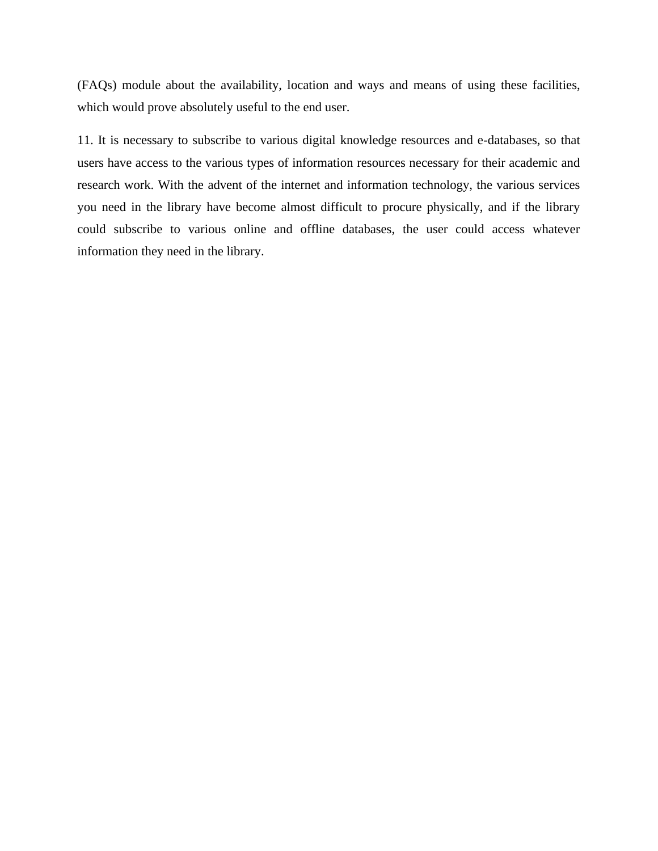(FAQs) module about the availability, location and ways and means of using these facilities, which would prove absolutely useful to the end user.

11. It is necessary to subscribe to various digital knowledge resources and e-databases, so that users have access to the various types of information resources necessary for their academic and research work. With the advent of the internet and information technology, the various services you need in the library have become almost difficult to procure physically, and if the library could subscribe to various online and offline databases, the user could access whatever information they need in the library.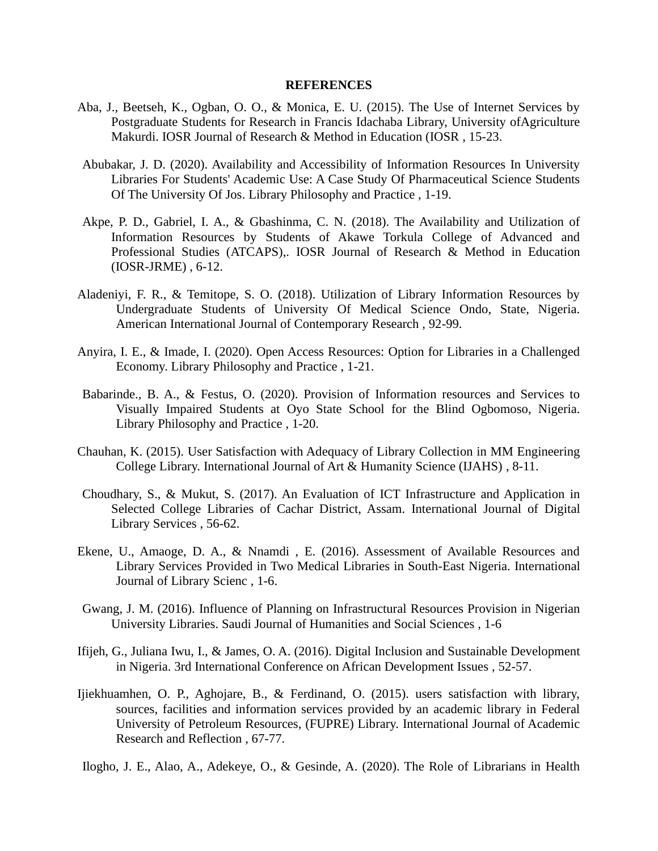#### **REFERENCES**

- Aba, J., Beetseh, K., Ogban, O. O., & Monica, E. U. (2015). The Use of Internet Services by Postgraduate Students for Research in Francis Idachaba Library, University ofAgriculture Makurdi. IOSR Journal of Research & Method in Education (IOSR , 15-23.
- Abubakar, J. D. (2020). Availability and Accessibility of Information Resources In University Libraries For Students' Academic Use: A Case Study Of Pharmaceutical Science Students Of The University Of Jos. Library Philosophy and Practice , 1-19.
- Akpe, P. D., Gabriel, I. A., & Gbashinma, C. N. (2018). The Availability and Utilization of Information Resources by Students of Akawe Torkula College of Advanced and Professional Studies (ATCAPS),. IOSR Journal of Research & Method in Education (IOSR-JRME) , 6-12.
- Aladeniyi, F. R., & Temitope, S. O. (2018). Utilization of Library Information Resources by Undergraduate Students of University Of Medical Science Ondo, State, Nigeria. American International Journal of Contemporary Research , 92-99.
- Anyira, I. E., & Imade, I. (2020). Open Access Resources: Option for Libraries in a Challenged Economy. Library Philosophy and Practice , 1-21.
- Babarinde., B. A., & Festus, O. (2020). Provision of Information resources and Services to Visually Impaired Students at Oyo State School for the Blind Ogbomoso, Nigeria. Library Philosophy and Practice , 1-20.
- Chauhan, K. (2015). User Satisfaction with Adequacy of Library Collection in MM Engineering College Library. International Journal of Art & Humanity Science (IJAHS) , 8-11.
- Choudhary, S., & Mukut, S. (2017). An Evaluation of ICT Infrastructure and Application in Selected College Libraries of Cachar District, Assam. International Journal of Digital Library Services , 56-62.
- Ekene, U., Amaoge, D. A., & Nnamdi , E. (2016). Assessment of Available Resources and Library Services Provided in Two Medical Libraries in South-East Nigeria. International Journal of Library Scienc , 1-6.
- Gwang, J. M. (2016). Influence of Planning on Infrastructural Resources Provision in Nigerian University Libraries. Saudi Journal of Humanities and Social Sciences , 1-6
- Ifijeh, G., Juliana Iwu, I., & James, O. A. (2016). Digital Inclusion and Sustainable Development in Nigeria. 3rd International Conference on African Development Issues , 52-57.
- Ijiekhuamhen, O. P., Aghojare, B., & Ferdinand, O. (2015). users satisfaction with library, sources, facilities and information services provided by an academic library in Federal University of Petroleum Resources, (FUPRE) Library. International Journal of Academic Research and Reflection , 67-77.
- Ilogho, J. E., Alao, A., Adekeye, O., & Gesinde, A. (2020). The Role of Librarians in Health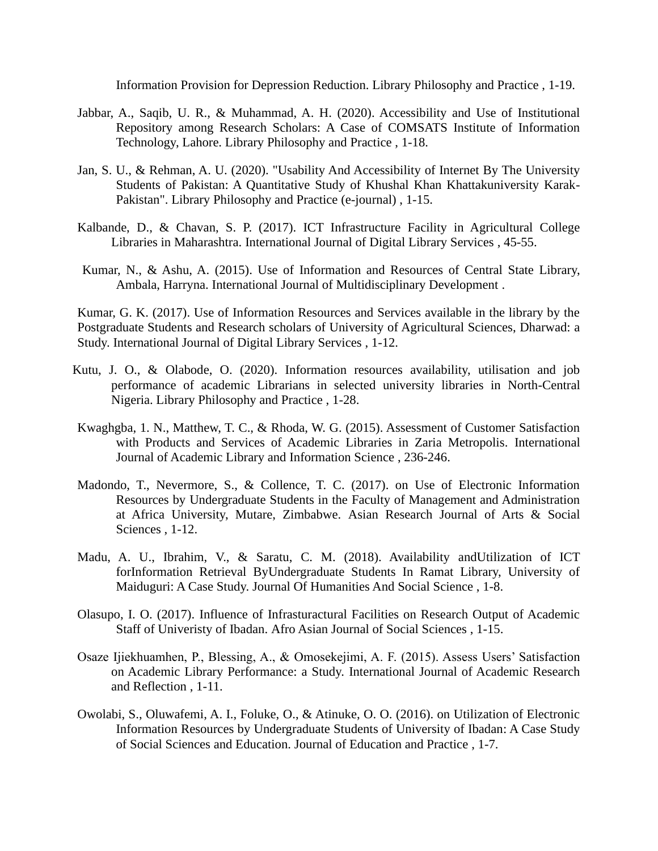Information Provision for Depression Reduction. Library Philosophy and Practice , 1-19.

- Jabbar, A., Saqib, U. R., & Muhammad, A. H. (2020). Accessibility and Use of Institutional Repository among Research Scholars: A Case of COMSATS Institute of Information Technology, Lahore. Library Philosophy and Practice , 1-18.
- Jan, S. U., & Rehman, A. U. (2020). "Usability And Accessibility of Internet By The University Students of Pakistan: A Quantitative Study of Khushal Khan Khattakuniversity Karak-Pakistan". Library Philosophy and Practice (e-journal) , 1-15.
- Kalbande, D., & Chavan, S. P. (2017). ICT Infrastructure Facility in Agricultural College Libraries in Maharashtra. International Journal of Digital Library Services , 45-55.
- Kumar, N., & Ashu, A. (2015). Use of Information and Resources of Central State Library, Ambala, Harryna. International Journal of Multidisciplinary Development .

Kumar, G. K. (2017). Use of Information Resources and Services available in the library by the Postgraduate Students and Research scholars of University of Agricultural Sciences, Dharwad: a Study. International Journal of Digital Library Services , 1-12.

- Kutu, J. O., & Olabode, O. (2020). Information resources availability, utilisation and job performance of academic Librarians in selected university libraries in North-Central Nigeria. Library Philosophy and Practice , 1-28.
- Kwaghgba, 1. N., Matthew, T. C., & Rhoda, W. G. (2015). Assessment of Customer Satisfaction with Products and Services of Academic Libraries in Zaria Metropolis. International Journal of Academic Library and Information Science , 236-246.
- Madondo, T., Nevermore, S., & Collence, T. C. (2017). on Use of Electronic Information Resources by Undergraduate Students in the Faculty of Management and Administration at Africa University, Mutare, Zimbabwe. Asian Research Journal of Arts & Social Sciences , 1-12.
- Madu, A. U., Ibrahim, V., & Saratu, C. M. (2018). Availability andUtilization of ICT forInformation Retrieval ByUndergraduate Students In Ramat Library, University of Maiduguri: A Case Study. Journal Of Humanities And Social Science , 1-8.
- Olasupo, I. O. (2017). Influence of Infrasturactural Facilities on Research Output of Academic Staff of Univeristy of Ibadan. Afro Asian Journal of Social Sciences , 1-15.
- Osaze Ijiekhuamhen, P., Blessing, A., & Omosekejimi, A. F. (2015). Assess Users' Satisfaction on Academic Library Performance: a Study. International Journal of Academic Research and Reflection , 1-11.
- Owolabi, S., Oluwafemi, A. I., Foluke, O., & Atinuke, O. O. (2016). on Utilization of Electronic Information Resources by Undergraduate Students of University of Ibadan: A Case Study of Social Sciences and Education. Journal of Education and Practice , 1-7.